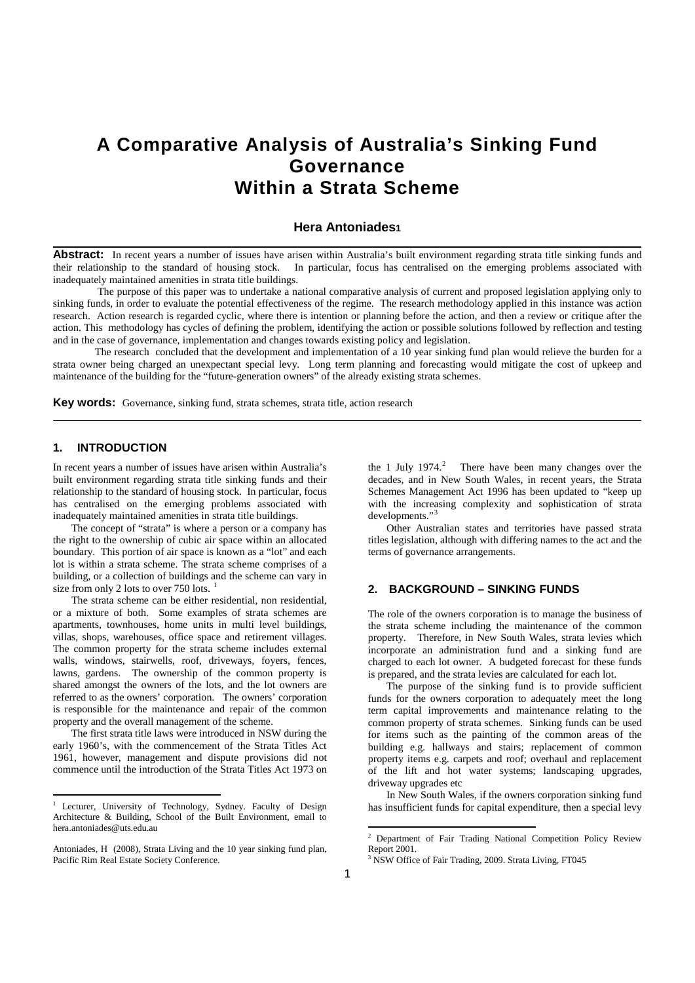# **A Comparative Analysis of Australia's Sinking Fund Governance Within a Strata Scheme**

# **Hera Antoniades1**

Abstract: In recent years a number of issues have arisen within Australia's built environment regarding strata title sinking funds and their relationship to the standard of housing stock. In particular, focus has centralised on the emerging problems associated with inadequately maintained amenities in strata title buildings.

The purpose of this paper was to undertake a national comparative analysis of current and proposed legislation applying only to sinking funds, in order to evaluate the potential effectiveness of the regime. The research methodology applied in this instance was action research. Action research is regarded cyclic, where there is intention or planning before the action, and then a review or critique after the action. This methodology has cycles of defining the problem, identifying the action or possible solutions followed by reflection and testing and in the case of governance, implementation and changes towards existing policy and legislation.

The research concluded that the development and implementation of a 10 year sinking fund plan would relieve the burden for a strata owner being charged an unexpectant special levy. Long term planning and forecasting would mitigate the cost of upkeep and maintenance of the building for the "future-generation owners" of the already existing strata schemes.

**Key words:** Governance, sinking fund, strata schemes, strata title, action research

#### **1. INTRODUCTION**

**.** 

In recent years a number of issues have arisen within Australia's built environment regarding strata title sinking funds and their relationship to the standard of housing stock. In particular, focus has centralised on the emerging problems associated with inadequately maintained amenities in strata title buildings.

 The concept of "strata" is where a person or a company has the right to the ownership of cubic air space within an allocated boundary. This portion of air space is known as a "lot" and each lot is within a strata scheme. The strata scheme comprises of a building, or a collection of buildings and the scheme can vary in size from only 2 lots to over 750 lots.

 The strata scheme can be either residential, non residential, or a mixture of both. Some examples of strata schemes are apartments, townhouses, home units in multi level buildings, villas, shops, warehouses, office space and retirement villages. The common property for the strata scheme includes external walls, windows, stairwells, roof, driveways, foyers, fences, lawns, gardens. The ownership of the common property is shared amongst the owners of the lots, and the lot owners are referred to as the owners' corporation. The owners' corporation is responsible for the maintenance and repair of the common property and the overall management of the scheme.

 The first strata title laws were introduced in NSW during the early 1960's, with the commencement of the Strata Titles Act 1961, however, management and dispute provisions did not commence until the introduction of the Strata Titles Act 1973 on

the 1 July  $1974$ .<sup>[2](#page-0-1)</sup> There have been many changes over the decades, and in New South Wales, in recent years, the Strata Schemes Management Act 1996 has been updated to "keep up with the increasing complexity and sophistication of strata developments."<sup>[3](#page-0-2)</sup>

 Other Australian states and territories have passed strata titles legislation, although with differing names to the act and the terms of governance arrangements.

# **2. BACKGROUND – SINKING FUNDS**

The role of the owners corporation is to manage the business of the strata scheme including the maintenance of the common property. Therefore, in New South Wales, strata levies which incorporate an administration fund and a sinking fund are charged to each lot owner. A budgeted forecast for these funds is prepared, and the strata levies are calculated for each lot.

 The purpose of the sinking fund is to provide sufficient funds for the owners corporation to adequately meet the long term capital improvements and maintenance relating to the common property of strata schemes. Sinking funds can be used for items such as the painting of the common areas of the building e.g. hallways and stairs; replacement of common property items e.g. carpets and roof; overhaul and replacement of the lift and hot water systems; landscaping upgrades, driveway upgrades etc

 In New South Wales, if the owners corporation sinking fund has insufficient funds for capital expenditure, then a special levy

 $\overline{\phantom{a}}$ 

<span id="page-0-0"></span>Lecturer, University of Technology, Sydney. Faculty of Design Architecture & Building, School of the Built Environment, email to hera.antoniades@uts.edu.au

<span id="page-0-2"></span><span id="page-0-1"></span>Antoniades, H (2008), Strata Living and the 10 year sinking fund plan, Pacific Rim Real Estate Society Conference.

<sup>&</sup>lt;sup>2</sup> Department of Fair Trading National Competition Policy Review Report 2001.

NSW Office of Fair Trading, 2009. Strata Living, FT045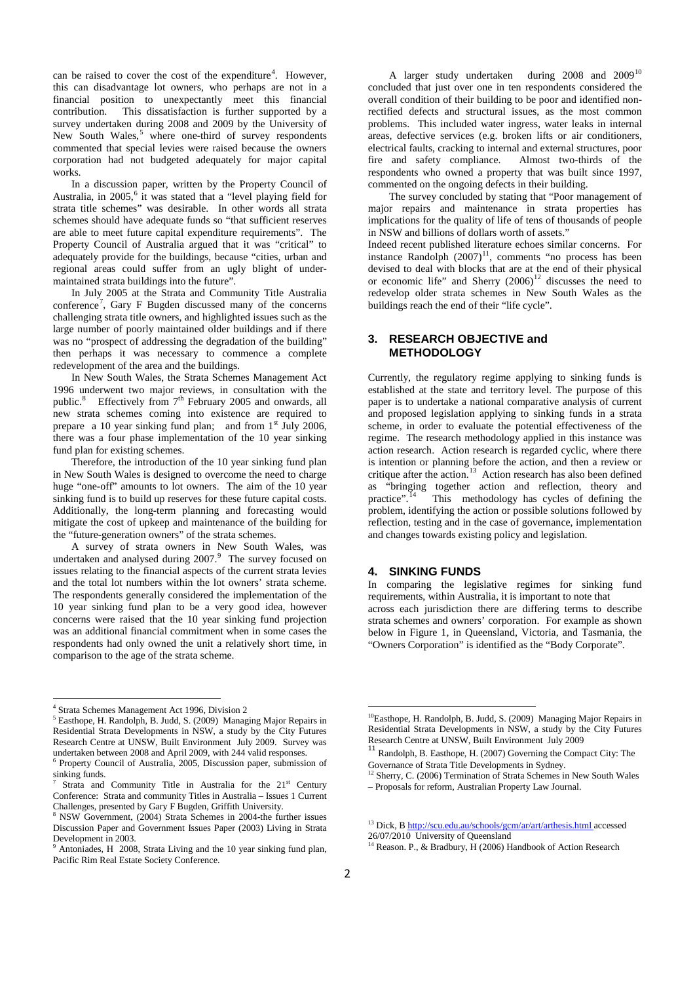can be raised to cover the cost of the expenditure<sup>[4](#page-1-0)</sup>. However, this can disadvantage lot owners, who perhaps are not in a financial position to unexpectantly meet this financial contribution. This dissatisfaction is further supported by a survey undertaken during 2008 and 2009 by the University of New South Wales,<sup>[5](#page-1-1)</sup> where one-third of survey respondents commented that special levies were raised because the owners corporation had not budgeted adequately for major capital works.

 In a discussion paper, written by the Property Council of Australia, in 2005, [6](#page-1-2) it was stated that a "level playing field for strata title schemes" was desirable. In other words all strata schemes should have adequate funds so "that sufficient reserves are able to meet future capital expenditure requirements". The Property Council of Australia argued that it was "critical" to adequately provide for the buildings, because "cities, urban and regional areas could suffer from an ugly blight of undermaintained strata buildings into the future".

 In July 2005 at the Strata and Community Title Australia conference[7](#page-1-3) , Gary F Bugden discussed many of the concerns challenging strata title owners, and highlighted issues such as the large number of poorly maintained older buildings and if there was no "prospect of addressing the degradation of the building" then perhaps it was necessary to commence a complete redevelopment of the area and the buildings.

 In New South Wales, the Strata Schemes Management Act 1996 underwent two major reviews, in consultation with the public.<sup>[8](#page-1-4)</sup> Effectively from 7<sup>th</sup> February 2005 and onwards, all new strata schemes coming into existence are required to prepare a 10 year sinking fund plan; and from  $1<sup>st</sup>$  July 2006, there was a four phase implementation of the 10 year sinking fund plan for existing schemes.

 Therefore, the introduction of the 10 year sinking fund plan in New South Wales is designed to overcome the need to charge huge "one-off" amounts to lot owners. The aim of the 10 year sinking fund is to build up reserves for these future capital costs. Additionally, the long-term planning and forecasting would mitigate the cost of upkeep and maintenance of the building for the "future-generation owners" of the strata schemes.

 A survey of strata owners in New South Wales, was undertaken and analysed during  $2007$ .<sup>[9](#page-1-5)</sup> The survey focused on issues relating to the financial aspects of the current strata levies and the total lot numbers within the lot owners' strata scheme. The respondents generally considered the implementation of the 10 year sinking fund plan to be a very good idea, however concerns were raised that the 10 year sinking fund projection was an additional financial commitment when in some cases the respondents had only owned the unit a relatively short time, in comparison to the age of the strata scheme.

**.** 

A larger study undertaken during  $2008$  and  $2009^{10}$  $2009^{10}$  $2009^{10}$ concluded that just over one in ten respondents considered the overall condition of their building to be poor and identified nonrectified defects and structural issues, as the most common problems. This included water ingress, water leaks in internal areas, defective services (e.g. broken lifts or air conditioners, electrical faults, cracking to internal and external structures, poor<br>fire and safety compliance. Almost two-thirds of the fire and safety compliance. respondents who owned a property that was built since 1997, commented on the ongoing defects in their building.

 The survey concluded by stating that "Poor management of major repairs and maintenance in strata properties has implications for the quality of life of tens of thousands of people in NSW and billions of dollars worth of assets."

Indeed recent published literature echoes similar concerns. For instance Randolph  $(2007)^{11}$  $(2007)^{11}$  $(2007)^{11}$ , comments "no process has been devised to deal with blocks that are at the end of their physical or economic life" and Sherry  $(2006)^{12}$  $(2006)^{12}$  $(2006)^{12}$  discusses the need to redevelop older strata schemes in New South Wales as the buildings reach the end of their "life cycle".

# **3. RESEARCH OBJECTIVE and METHODOLOGY**

Currently, the regulatory regime applying to sinking funds is established at the state and territory level. The purpose of this paper is to undertake a national comparative analysis of current and proposed legislation applying to sinking funds in a strata scheme, in order to evaluate the potential effectiveness of the regime. The research methodology applied in this instance was action research. Action research is regarded cyclic, where there is intention or planning before the action, and then a review or critique after the action.<sup>[13](#page-1-9)</sup> Action research has also been defined as "bringing together action and reflection, theory and practice".<sup>14</sup> This methodology has cycles of defining the This methodology has cycles of defining the problem, identifying the action or possible solutions followed by reflection, testing and in the case of governance, implementation and changes towards existing policy and legislation.

### **4. SINKING FUNDS**

In comparing the legislative regimes for sinking fund requirements, within Australia, it is important to note that across each jurisdiction there are differing terms to describe strata schemes and owners' corporation. For example as shown below in Figure 1, in Queensland, Victoria, and Tasmania, the "Owners Corporation" is identified as the "Body Corporate".

1

<span id="page-1-6"></span><span id="page-1-1"></span><span id="page-1-0"></span><sup>&</sup>lt;sup>4</sup> Strata Schemes Management Act 1996, Division 2<br><sup>5</sup> Easthope, H. Randolph, B. Judd, S. (2009) Managing Major Repairs in Residential Strata Developments in NSW, a study by the City Futures Research Centre at UNSW, Built Environment July 2009. Survey was undertaken between 2008 and April 2009, with 244 valid responses.

<span id="page-1-7"></span><span id="page-1-2"></span><sup>6</sup> Property Council of Australia, 2005, Discussion paper, submission of sinking funds.

<span id="page-1-8"></span><span id="page-1-3"></span>Strata and Community Title in Australia for the  $21<sup>st</sup>$  Century Conference: Strata and community Titles in Australia – Issues 1 Current Challenges, presented by Gary F Bugden, Griffith University.

<span id="page-1-9"></span><span id="page-1-4"></span>NSW Government, (2004) Strata Schemes in 2004-the further issues Discussion Paper and Government Issues Paper (2003) Living in Strata Development in 2003.

<span id="page-1-10"></span><span id="page-1-5"></span>Antoniades, H 2008, Strata Living and the 10 year sinking fund plan, Pacific Rim Real Estate Society Conference.

<sup>&</sup>lt;sup>10</sup>Easthope, H. Randolph, B. Judd, S. (2009) Managing Major Repairs in Residential Strata Developments in NSW, a study by the City Futures Research Centre at UNSW, Built Environment July 2009

<sup>11</sup> Randolph, B. Easthope, H. (2007) Governing the Compact City: The Governance of Strata Title Developments in Sydney.

<sup>&</sup>lt;sup>12</sup> Sherry, C. (2006) Termination of Strata Schemes in New South Wales – Proposals for reform, Australian Property Law Journal.

<sup>&</sup>lt;sup>13</sup> Dick, B http://scu.edu.au/schools/gcm/ar/art/arthesis.html accessed

[<sup>26/07/2010</sup>](http://scu.edu.au/schools/gcm/ar/art/arthesis.html%20accessed%2026/07/2010) University of Queensland

<sup>&</sup>lt;sup>14</sup> Reason. P., & Bradbury, H (2006) Handbook of Action Research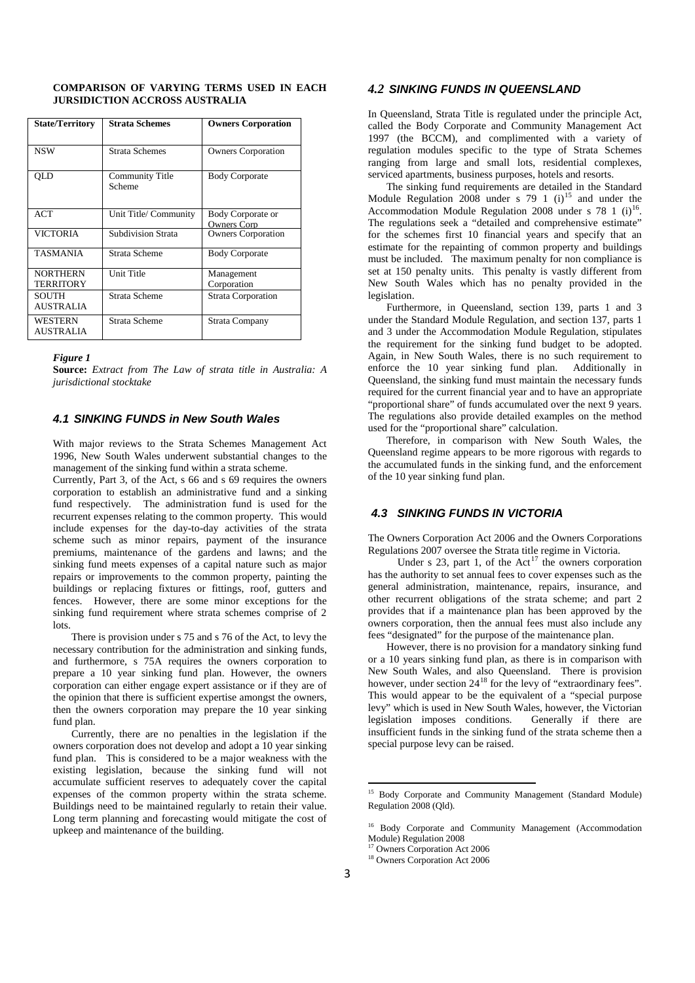| <b>State/Territory</b>              | <b>Strata Schemes</b>            | <b>Owners Corporation</b>                |
|-------------------------------------|----------------------------------|------------------------------------------|
| <b>NSW</b>                          | <b>Strata Schemes</b>            | <b>Owners Corporation</b>                |
| OLD                                 | <b>Community Title</b><br>Scheme | <b>Body Corporate</b>                    |
| ACT                                 | Unit Title/ Community            | Body Corporate or<br><b>Owners Corp.</b> |
| <b>VICTORIA</b>                     | <b>Subdivision Strata</b>        | <b>Owners Corporation</b>                |
| <b>TASMANIA</b>                     | Strata Scheme                    | <b>Body Corporate</b>                    |
| <b>NORTHERN</b><br><b>TERRITORY</b> | Unit Title                       | Management<br>Corporation                |
| <b>SOUTH</b><br><b>AUSTRALIA</b>    | <b>Strata Scheme</b>             | <b>Strata Corporation</b>                |
| <b>WESTERN</b><br><b>AUSTRALIA</b>  | Strata Scheme                    | Strata Company                           |

#### **COMPARISON OF VARYING TERMS USED IN EACH JURSIDICTION ACCROSS AUSTRALIA**

#### *Figure 1*

**Source:** *Extract from The Law of strata title in Australia: A jurisdictional stocktake*

#### *4.1 SINKING FUNDS in New South Wales*

With major reviews to the Strata Schemes Management Act 1996, New South Wales underwent substantial changes to the management of the sinking fund within a strata scheme.

Currently, Part 3, of the Act, s 66 and s 69 requires the owners corporation to establish an administrative fund and a sinking fund respectively. The administration fund is used for the recurrent expenses relating to the common property. This would include expenses for the day-to-day activities of the strata scheme such as minor repairs, payment of the insurance premiums, maintenance of the gardens and lawns; and the sinking fund meets expenses of a capital nature such as major repairs or improvements to the common property, painting the buildings or replacing fixtures or fittings, roof, gutters and fences. However, there are some minor exceptions for the sinking fund requirement where strata schemes comprise of 2 lots.

 There is provision under s 75 and s 76 of the Act, to levy the necessary contribution for the administration and sinking funds, and furthermore, s 75A requires the owners corporation to prepare a 10 year sinking fund plan. However, the owners corporation can either engage expert assistance or if they are of the opinion that there is sufficient expertise amongst the owners, then the owners corporation may prepare the 10 year sinking fund plan.

<span id="page-2-3"></span><span id="page-2-2"></span><span id="page-2-1"></span><span id="page-2-0"></span> Currently, there are no penalties in the legislation if the owners corporation does not develop and adopt a 10 year sinking fund plan. This is considered to be a major weakness with the existing legislation, because the sinking fund will not accumulate sufficient reserves to adequately cover the capital expenses of the common property within the strata scheme. Buildings need to be maintained regularly to retain their value. Long term planning and forecasting would mitigate the cost of upkeep and maintenance of the building.

### *4.2 SINKING FUNDS IN QUEENSLAND*

In Queensland, Strata Title is regulated under the principle Act, called the Body Corporate and Community Management Act 1997 (the BCCM), and complimented with a variety of regulation modules specific to the type of Strata Schemes ranging from large and small lots, residential complexes, serviced apartments, business purposes, hotels and resorts.

 The sinking fund requirements are detailed in the Standard Module Regulation 2008 under s 79 1  $(i)^{15}$  $(i)^{15}$  $(i)^{15}$  and under the Accommodation Module Regulation 2008 under s  $78 \text{ } 1 \text{ } (i)$ <sup>16</sup>. The regulations seek a "detailed and comprehensive estimate" for the schemes first 10 financial years and specify that an estimate for the repainting of common property and buildings must be included. The maximum penalty for non compliance is set at 150 penalty units. This penalty is vastly different from New South Wales which has no penalty provided in the legislation.

 Furthermore, in Queensland, section 139, parts 1 and 3 under the Standard Module Regulation, and section 137, parts 1 and 3 under the Accommodation Module Regulation, stipulates the requirement for the sinking fund budget to be adopted. Again, in New South Wales, there is no such requirement to enforce the 10 year sinking fund plan. Additionally in Queensland, the sinking fund must maintain the necessary funds required for the current financial year and to have an appropriate "proportional share" of funds accumulated over the next 9 years. The regulations also provide detailed examples on the method used for the "proportional share" calculation.

 Therefore, in comparison with New South Wales, the Queensland regime appears to be more rigorous with regards to the accumulated funds in the sinking fund, and the enforcement of the 10 year sinking fund plan.

#### *4.3 SINKING FUNDS IN VICTORIA*

The Owners Corporation Act 2006 and the Owners Corporations Regulations 2007 oversee the Strata title regime in Victoria.

Under s 23, part 1, of the Act<sup>[17](#page-2-2)</sup> the owners corporation has the authority to set annual fees to cover expenses such as the general administration, maintenance, repairs, insurance, and other recurrent obligations of the strata scheme; and part 2 provides that if a maintenance plan has been approved by the owners corporation, then the annual fees must also include any fees "designated" for the purpose of the maintenance plan.

 However, there is no provision for a mandatory sinking fund or a 10 years sinking fund plan, as there is in comparison with New South Wales, and also Queensland. There is provision however, under section 24<sup>[18](#page-2-3)</sup> for the levy of "extraordinary fees". This would appear to be the equivalent of a "special purpose levy" which is used in New South Wales, however, the Victorian legislation imposes conditions. Generally if there are insufficient funds in the sinking fund of the strata scheme then a special purpose levy can be raised.

1

<sup>15</sup> Body Corporate and Community Management (Standard Module) Regulation 2008 (Qld).

<sup>16</sup> Body Corporate and Community Management (Accommodation Module) Regulation 2008

Owners Corporation Act 2006

<sup>&</sup>lt;sup>18</sup> Owners Corporation Act 2006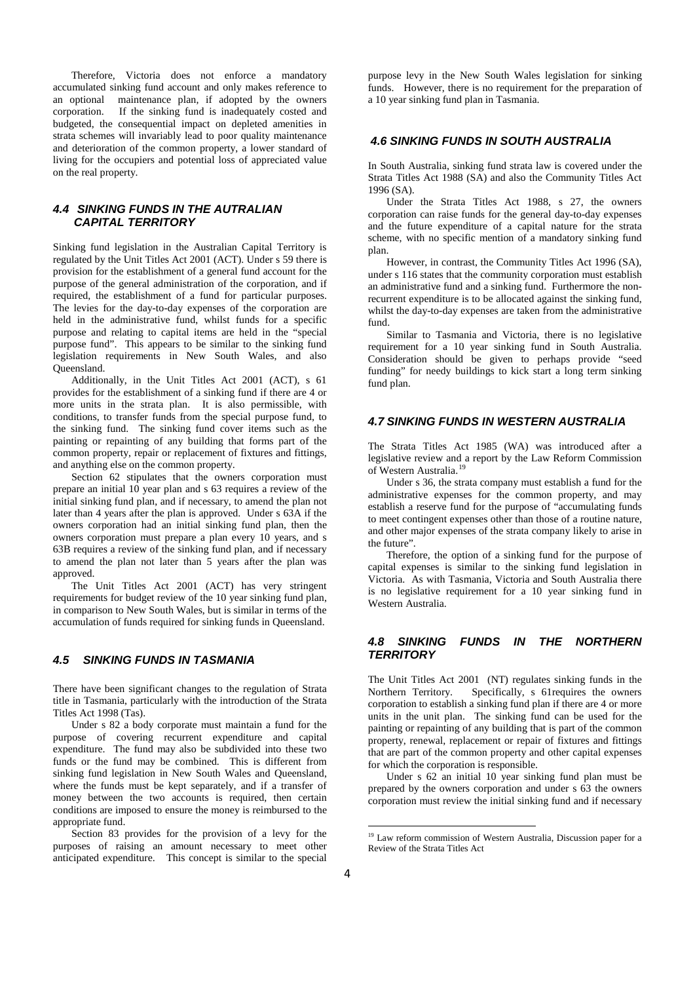Therefore, Victoria does not enforce a mandatory accumulated sinking fund account and only makes reference to an optional maintenance plan, if adopted by the owners corporation. If the sinking fund is inadequately costed and budgeted, the consequential impact on depleted amenities in strata schemes will invariably lead to poor quality maintenance and deterioration of the common property, a lower standard of living for the occupiers and potential loss of appreciated value on the real property.

### *4.4 SINKING FUNDS IN THE AUTRALIAN CAPITAL TERRITORY*

Sinking fund legislation in the Australian Capital Territory is regulated by the Unit Titles Act 2001 (ACT). Under s 59 there is provision for the establishment of a general fund account for the purpose of the general administration of the corporation, and if required, the establishment of a fund for particular purposes. The levies for the day-to-day expenses of the corporation are held in the administrative fund, whilst funds for a specific purpose and relating to capital items are held in the "special purpose fund". This appears to be similar to the sinking fund legislation requirements in New South Wales, and also Queensland.

 Additionally, in the Unit Titles Act 2001 (ACT), s 61 provides for the establishment of a sinking fund if there are 4 or more units in the strata plan. It is also permissible, with conditions, to transfer funds from the special purpose fund, to the sinking fund. The sinking fund cover items such as the painting or repainting of any building that forms part of the common property, repair or replacement of fixtures and fittings, and anything else on the common property.

Section 62 stipulates that the owners corporation must prepare an initial 10 year plan and s 63 requires a review of the initial sinking fund plan, and if necessary, to amend the plan not later than 4 years after the plan is approved. Under s 63A if the owners corporation had an initial sinking fund plan, then the owners corporation must prepare a plan every 10 years, and s 63B requires a review of the sinking fund plan, and if necessary to amend the plan not later than 5 years after the plan was approved.

 The Unit Titles Act 2001 (ACT) has very stringent requirements for budget review of the 10 year sinking fund plan, in comparison to New South Wales, but is similar in terms of the accumulation of funds required for sinking funds in Queensland.

## *4.5 SINKING FUNDS IN TASMANIA*

There have been significant changes to the regulation of Strata title in Tasmania, particularly with the introduction of the Strata Titles Act 1998 (Tas).

 Under s 82 a body corporate must maintain a fund for the purpose of covering recurrent expenditure and capital expenditure. The fund may also be subdivided into these two funds or the fund may be combined. This is different from sinking fund legislation in New South Wales and Queensland, where the funds must be kept separately, and if a transfer of money between the two accounts is required, then certain conditions are imposed to ensure the money is reimbursed to the appropriate fund.

<span id="page-3-0"></span> Section 83 provides for the provision of a levy for the purposes of raising an amount necessary to meet other anticipated expenditure. This concept is similar to the special purpose levy in the New South Wales legislation for sinking funds. However, there is no requirement for the preparation of a 10 year sinking fund plan in Tasmania.

### *4.6 SINKING FUNDS IN SOUTH AUSTRALIA*

In South Australia, sinking fund strata law is covered under the Strata Titles Act 1988 (SA) and also the Community Titles Act 1996 (SA).

 Under the Strata Titles Act 1988, s 27, the owners corporation can raise funds for the general day-to-day expenses and the future expenditure of a capital nature for the strata scheme, with no specific mention of a mandatory sinking fund plan.

 However, in contrast, the Community Titles Act 1996 (SA), under s 116 states that the community corporation must establish an administrative fund and a sinking fund. Furthermore the nonrecurrent expenditure is to be allocated against the sinking fund, whilst the day-to-day expenses are taken from the administrative fund.

 Similar to Tasmania and Victoria, there is no legislative requirement for a 10 year sinking fund in South Australia. Consideration should be given to perhaps provide "seed funding" for needy buildings to kick start a long term sinking fund plan.

# *4.7 SINKING FUNDS IN WESTERN AUSTRALIA*

The Strata Titles Act 1985 (WA) was introduced after a legislative review and a report by the Law Reform Commission of Western Australia.[19](#page-3-0)

 Under s 36, the strata company must establish a fund for the administrative expenses for the common property, and may establish a reserve fund for the purpose of "accumulating funds to meet contingent expenses other than those of a routine nature, and other major expenses of the strata company likely to arise in the future".

 Therefore, the option of a sinking fund for the purpose of capital expenses is similar to the sinking fund legislation in Victoria. As with Tasmania, Victoria and South Australia there is no legislative requirement for a 10 year sinking fund in Western Australia.

#### *4.8 SINKING FUNDS IN THE NORTHERN TERRITORY*

The Unit Titles Act 2001 (NT) regulates sinking funds in the Northern Territory. Specifically, s 61requires the owners corporation to establish a sinking fund plan if there are 4 or more units in the unit plan. The sinking fund can be used for the painting or repainting of any building that is part of the common property, renewal, replacement or repair of fixtures and fittings that are part of the common property and other capital expenses for which the corporation is responsible.

 Under s 62 an initial 10 year sinking fund plan must be prepared by the owners corporation and under s 63 the owners corporation must review the initial sinking fund and if necessary

 $\overline{a}$ 

<sup>&</sup>lt;sup>19</sup> Law reform commission of Western Australia, Discussion paper for a Review of the Strata Titles Act